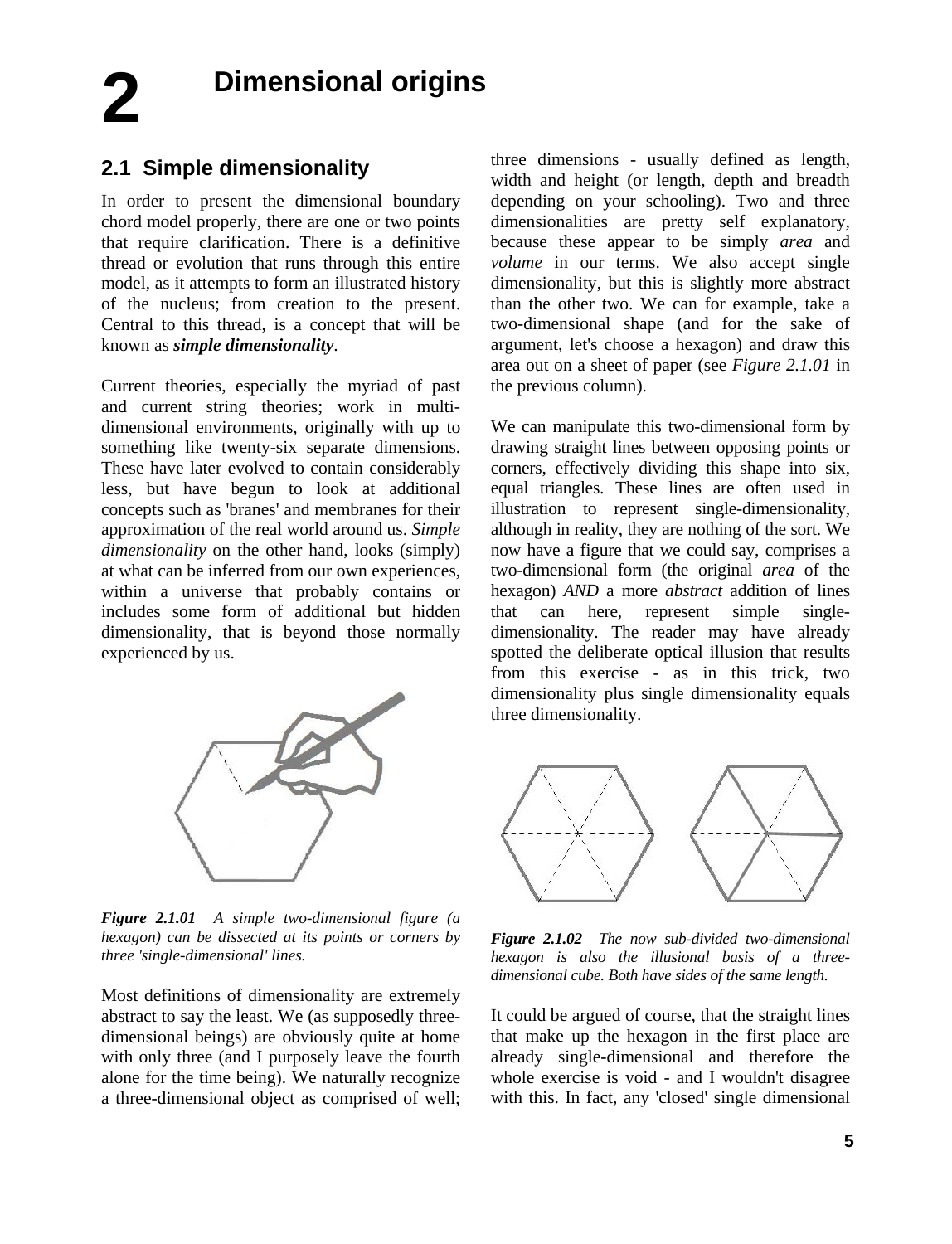**Dimensional origins 2**

## **2.1 Simple dimensionality**

In order to present the dimensional boundary chord model properly, there are one or two points that require clarification. There is a definitive thread or evolution that runs through this entire model, as it attempts to form an illustrated history of the nucleus; from creation to the present. Central to this thread, is a concept that will be known as *simple dimensionality*.

Current theories, especially the myriad of past and current string theories; work in multidimensional environments, originally with up to something like twenty-six separate dimensions. These have later evolved to contain considerably less, but have begun to look at additional concepts such as 'branes' and membranes for their approximation of the real world around us. *Simple dimensionality* on the other hand, looks (simply) at what can be inferred from our own experiences, within a universe that probably contains or includes some form of additional but hidden dimensionality, that is beyond those normally experienced by us.



*Figure 2.1.01 A simple two-dimensional figure (a hexagon) can be dissected at its points or corners by three 'single-dimensional' lines.* 

Most definitions of dimensionality are extremely abstract to say the least. We (as supposedly threedimensional beings) are obviously quite at home with only three (and I purposely leave the fourth alone for the time being). We naturally recognize a three-dimensional object as comprised of well;

three dimensions - usually defined as length, width and height (or length, depth and breadth depending on your schooling). Two and three dimensionalities are pretty self explanatory, because these appear to be simply *area* and *volume* in our terms. We also accept single dimensionality, but this is slightly more abstract than the other two. We can for example, take a two-dimensional shape (and for the sake of argument, let's choose a hexagon) and draw this area out on a sheet of paper (see *Figure 2.1.01* in the previous column).

We can manipulate this two-dimensional form by drawing straight lines between opposing points or corners, effectively dividing this shape into six, equal triangles. These lines are often used in illustration to represent single-dimensionality, although in reality, they are nothing of the sort. We now have a figure that we could say, comprises a two-dimensional form (the original *area* of the hexagon) *AND* a more *abstract* addition of lines that can here, represent simple singledimensionality. The reader may have already spotted the deliberate optical illusion that results from this exercise - as in this trick, two dimensionality plus single dimensionality equals three dimensionality.



*Figure 2.1.02 The now sub-divided two-dimensional hexagon is also the illusional basis of a threedimensional cube. Both have sides of the same length.*

It could be argued of course, that the straight lines that make up the hexagon in the first place are already single-dimensional and therefore the whole exercise is void - and I wouldn't disagree with this. In fact, any 'closed' single dimensional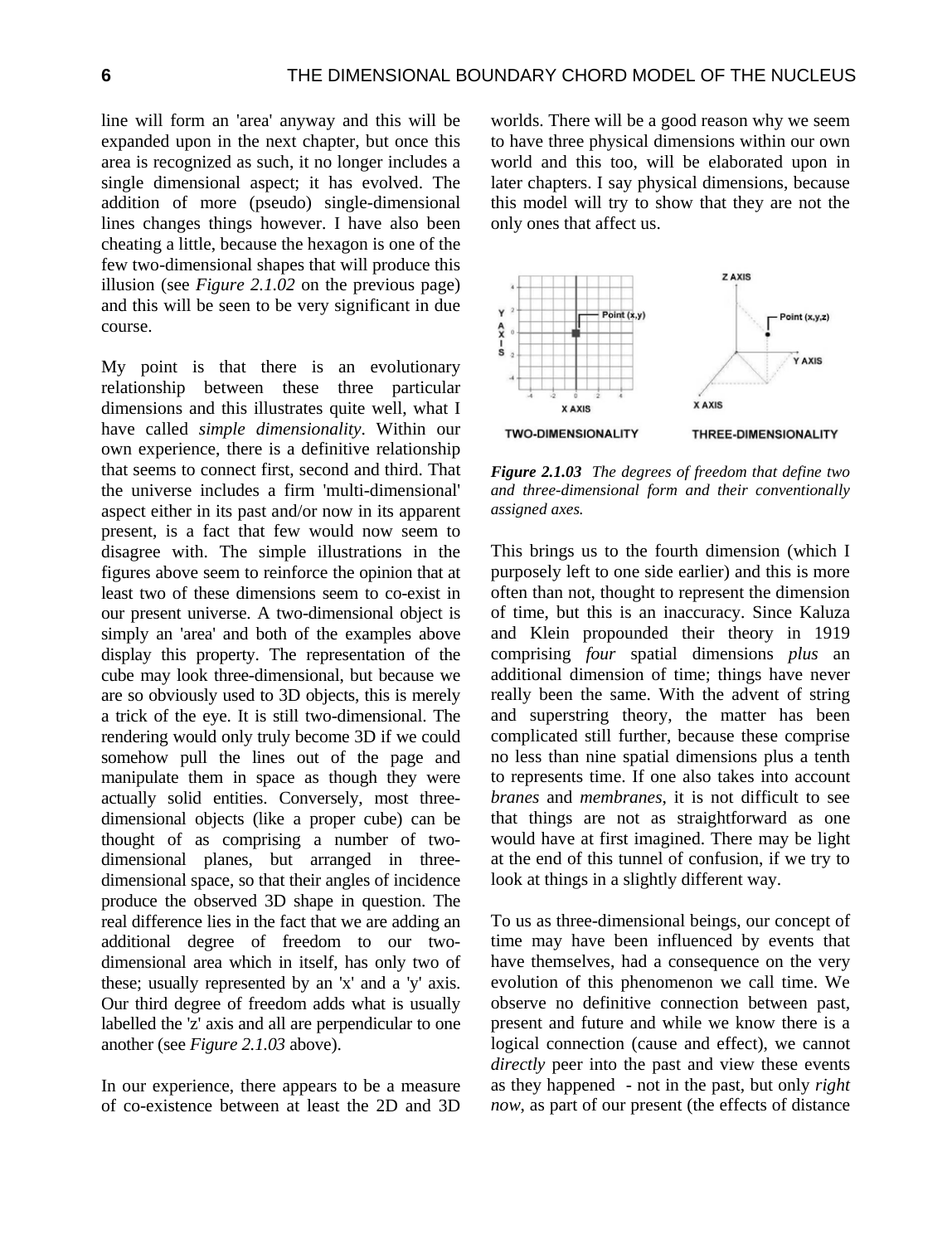line will form an 'area' anyway and this will be expanded upon in the next chapter, but once this area is recognized as such, it no longer includes a single dimensional aspect; it has evolved. The addition of more (pseudo) single-dimensional lines changes things however. I have also been cheating a little, because the hexagon is one of the few two-dimensional shapes that will produce this illusion (see *Figure 2.1.02* on the previous page) and this will be seen to be very significant in due course.

My point is that there is an evolutionary relationship between these three particular dimensions and this illustrates quite well, what I have called *simple dimensionality*. Within our own experience, there is a definitive relationship that seems to connect first, second and third. That the universe includes a firm 'multi-dimensional' aspect either in its past and/or now in its apparent present, is a fact that few would now seem to disagree with. The simple illustrations in the figures above seem to reinforce the opinion that at least two of these dimensions seem to co-exist in our present universe. A two-dimensional object is simply an 'area' and both of the examples above display this property. The representation of the cube may look three-dimensional, but because we are so obviously used to 3D objects, this is merely a trick of the eye. It is still two-dimensional. The rendering would only truly become 3D if we could somehow pull the lines out of the page and manipulate them in space as though they were actually solid entities. Conversely, most threedimensional objects (like a proper cube) can be thought of as comprising a number of twodimensional planes, but arranged in threedimensional space, so that their angles of incidence produce the observed 3D shape in question. The real difference lies in the fact that we are adding an additional degree of freedom to our twodimensional area which in itself, has only two of these; usually represented by an 'x' and a 'y' axis. Our third degree of freedom adds what is usually labelled the 'z' axis and all are perpendicular to one another (see *Figure 2.1.03* above).

In our experience, there appears to be a measure of co-existence between at least the 2D and 3D worlds. There will be a good reason why we seem to have three physical dimensions within our own world and this too, will be elaborated upon in later chapters. I say physical dimensions, because this model will try to show that they are not the only ones that affect us.



*Figure 2.1.03 The degrees of freedom that define two and three-dimensional form and their conventionally assigned axes.* 

This brings us to the fourth dimension (which I purposely left to one side earlier) and this is more often than not, thought to represent the dimension of time, but this is an inaccuracy. Since Kaluza and Klein propounded their theory in 1919 comprising *four* spatial dimensions *plus* an additional dimension of time; things have never really been the same. With the advent of string and superstring theory, the matter has been complicated still further, because these comprise no less than nine spatial dimensions plus a tenth to represents time. If one also takes into account *branes* and *membranes*, it is not difficult to see that things are not as straightforward as one would have at first imagined. There may be light at the end of this tunnel of confusion, if we try to look at things in a slightly different way.

To us as three-dimensional beings, our concept of time may have been influenced by events that have themselves, had a consequence on the very evolution of this phenomenon we call time. We observe no definitive connection between past, present and future and while we know there is a logical connection (cause and effect), we cannot *directly* peer into the past and view these events as they happened - not in the past, but only *right now*, as part of our present (the effects of distance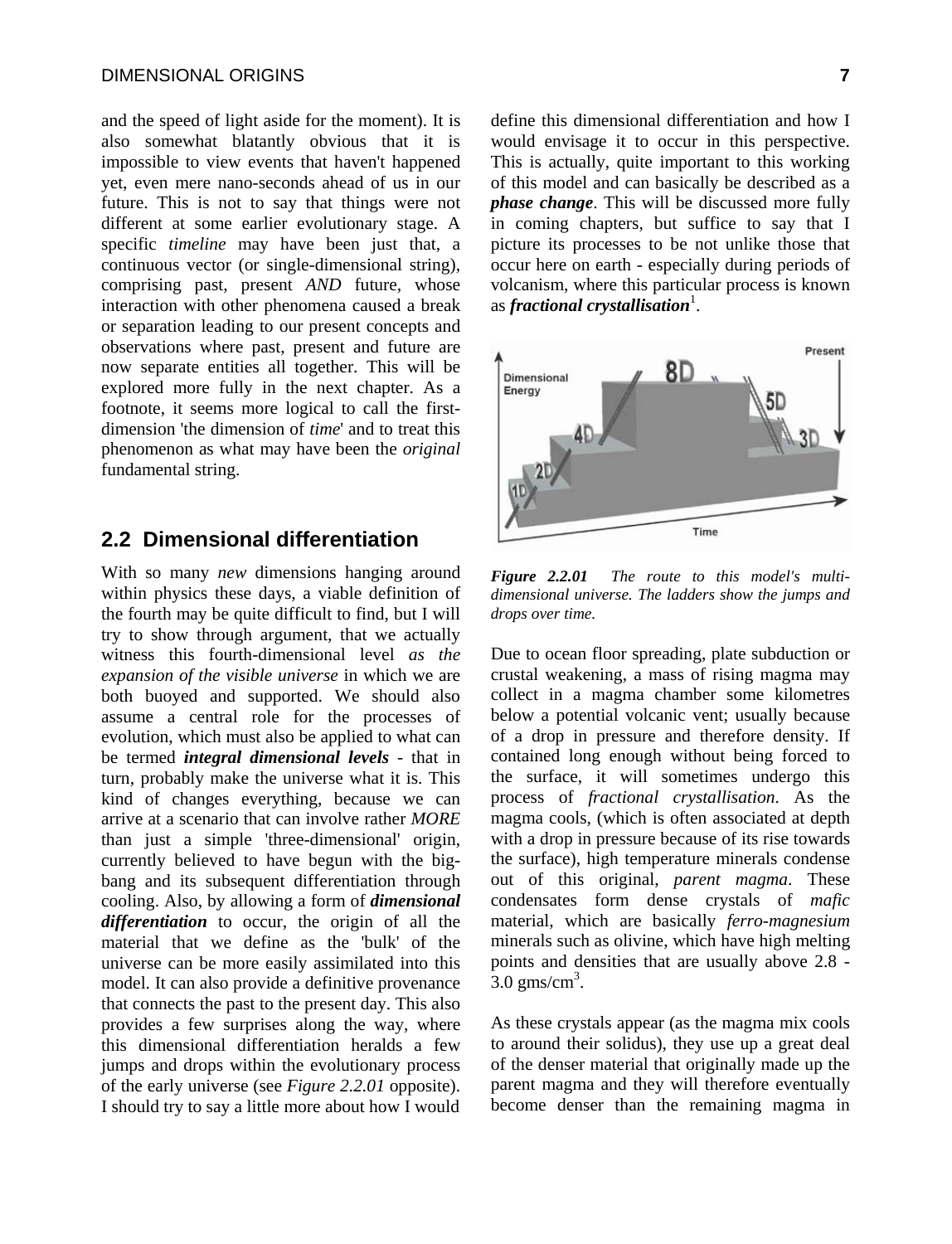and the speed of light aside for the moment). It is also somewhat blatantly obvious that it is impossible to view events that haven't happened yet, even mere nano-seconds ahead of us in our future. This is not to say that things were not different at some earlier evolutionary stage. A specific *timeline* may have been just that, a continuous vector (or single-dimensional string), comprising past, present *AND* future, whose interaction with other phenomena caused a break or separation leading to our present concepts and observations where past, present and future are now separate entities all together. This will be explored more fully in the next chapter. As a footnote, it seems more logical to call the firstdimension 'the dimension of *time*' and to treat this phenomenon as what may have been the *original* fundamental string.

## **2.2 Dimensional differentiation**

With so many *new* dimensions hanging around within physics these days, a viable definition of the fourth may be quite difficult to find, but I will try to show through argument, that we actually witness this fourth-dimensional level *as the expansion of the visible universe* in which we are both buoyed and supported. We should also assume a central role for the processes of evolution, which must also be applied to what can be termed *integral dimensional levels* - that in turn, probably make the universe what it is. This kind of changes everything, because we can arrive at a scenario that can involve rather *MORE* than just a simple 'three-dimensional' origin, currently believed to have begun with the bigbang and its subsequent differentiation through cooling. Also, by allowing a form of *dimensional differentiation* to occur, the origin of all the material that we define as the 'bulk' of the universe can be more easily assimilated into this model. It can also provide a definitive provenance that connects the past to the present day. This also provides a few surprises along the way, where this dimensional differentiation heralds a few jumps and drops within the evolutionary process of the early universe (see *Figure 2.2.01* opposite). I should try to say a little more about how I would

define this dimensional differentiation and how I would envisage it to occur in this perspective. This is actually, quite important to this working of this model and can basically be described as a *phase change*. This will be discussed more fully in coming chapters, but suffice to say that I picture its processes to be not unlike those that occur here on earth - especially during periods of volcanism, where this particular process is known as *fractional crystallisation*<sup>1</sup>.



*Figure 2.2.01 The route to this model's multidimensional universe. The ladders show the jumps and drops over time.*

Due to ocean floor spreading, plate subduction or crustal weakening, a mass of rising magma may collect in a magma chamber some kilometres below a potential volcanic vent; usually because of a drop in pressure and therefore density. If contained long enough without being forced to the surface, it will sometimes undergo this process of *fractional crystallisation*. As the magma cools, (which is often associated at depth with a drop in pressure because of its rise towards the surface), high temperature minerals condense out of this original, *parent magma*. These condensates form dense crystals of *mafic* material, which are basically *ferro-magnesium* minerals such as olivine, which have high melting points and densities that are usually above 2.8 -  $3.0 \text{ gms/cm}^3$ .

As these crystals appear (as the magma mix cools to around their solidus), they use up a great deal of the denser material that originally made up the parent magma and they will therefore eventually become denser than the remaining magma in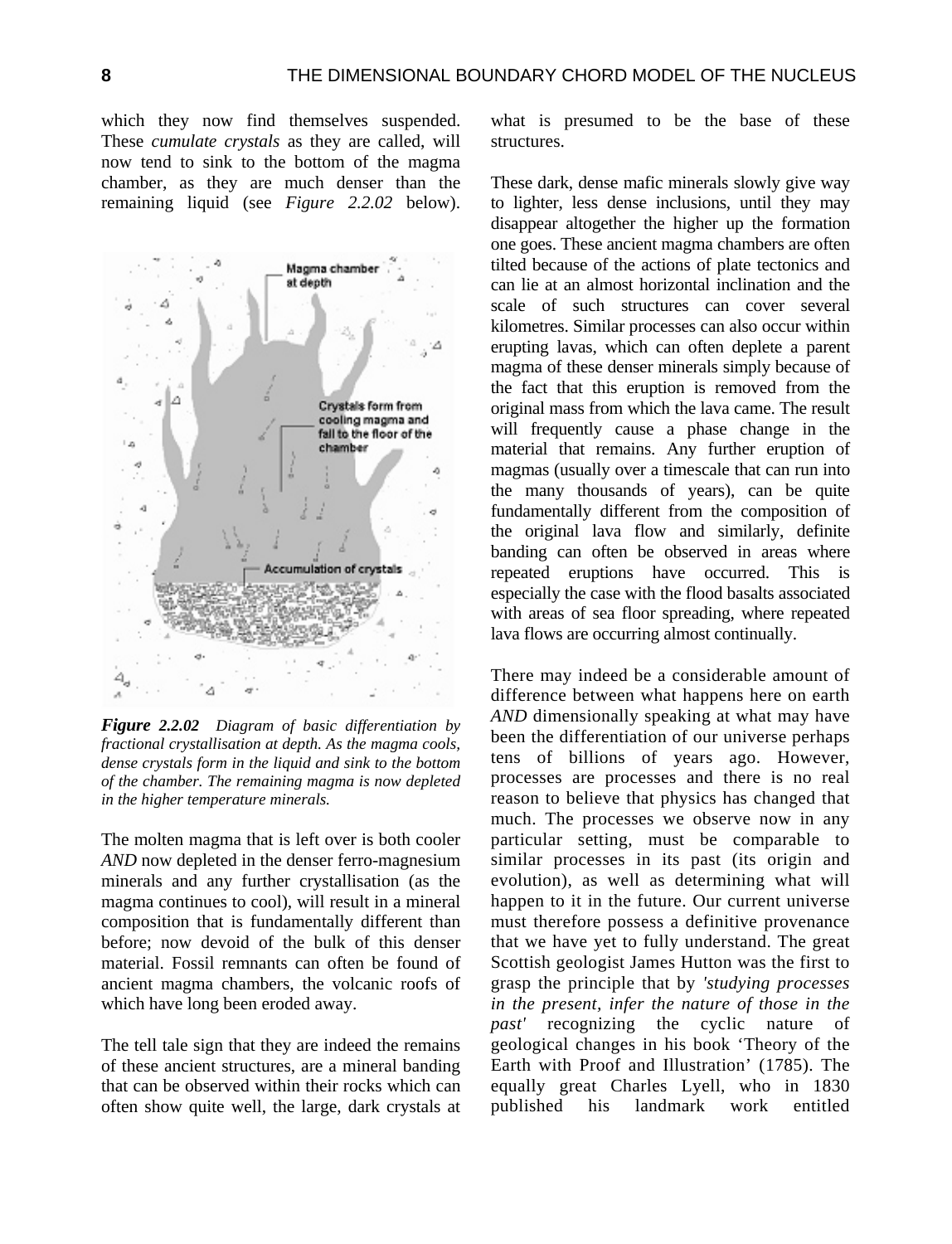which they now find themselves suspended. These *cumulate crystals* as they are called, will now tend to sink to the bottom of the magma chamber, as they are much denser than the remaining liquid (see *Figure 2.2.02* below).



*Figure 2.2.02 Diagram of basic differentiation by fractional crystallisation at depth. As the magma cools, dense crystals form in the liquid and sink to the bottom of the chamber. The remaining magma is now depleted in the higher temperature minerals.* 

The molten magma that is left over is both cooler *AND* now depleted in the denser ferro-magnesium minerals and any further crystallisation (as the magma continues to cool), will result in a mineral composition that is fundamentally different than before; now devoid of the bulk of this denser material. Fossil remnants can often be found of ancient magma chambers, the volcanic roofs of which have long been eroded away.

The tell tale sign that they are indeed the remains of these ancient structures, are a mineral banding that can be observed within their rocks which can often show quite well, the large, dark crystals at what is presumed to be the base of these structures.

These dark, dense mafic minerals slowly give way to lighter, less dense inclusions, until they may disappear altogether the higher up the formation one goes. These ancient magma chambers are often tilted because of the actions of plate tectonics and can lie at an almost horizontal inclination and the scale of such structures can cover several kilometres. Similar processes can also occur within erupting lavas, which can often deplete a parent magma of these denser minerals simply because of the fact that this eruption is removed from the original mass from which the lava came. The result will frequently cause a phase change in the material that remains. Any further eruption of magmas (usually over a timescale that can run into the many thousands of years), can be quite fundamentally different from the composition of the original lava flow and similarly, definite banding can often be observed in areas where repeated eruptions have occurred. This is especially the case with the flood basalts associated with areas of sea floor spreading, where repeated lava flows are occurring almost continually.

There may indeed be a considerable amount of difference between what happens here on earth *AND* dimensionally speaking at what may have been the differentiation of our universe perhaps tens of billions of years ago. However, processes are processes and there is no real reason to believe that physics has changed that much. The processes we observe now in any particular setting, must be comparable to similar processes in its past (its origin and evolution), as well as determining what will happen to it in the future. Our current universe must therefore possess a definitive provenance that we have yet to fully understand. The great Scottish geologist James Hutton was the first to grasp the principle that by *'studying processes in the present, infer the nature of those in the past'* recognizing the cyclic nature of geological changes in his book 'Theory of the Earth with Proof and Illustration' (1785). The equally great Charles Lyell, who in 1830 published his landmark work entitled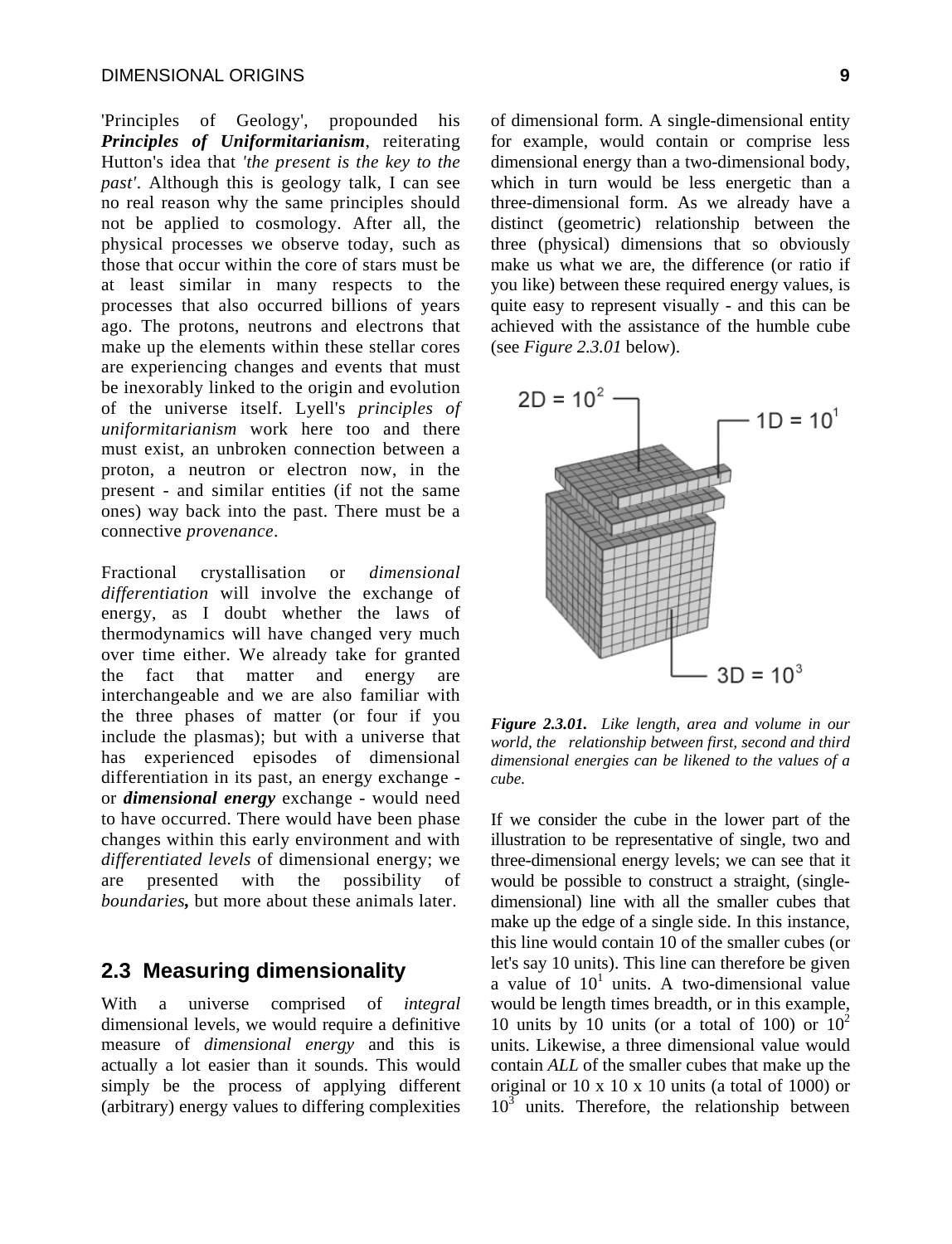'Principles of Geology', propounded his *Principles of Uniformitarianism*, reiterating Hutton's idea that *'the present is the key to the past'*. Although this is geology talk, I can see no real reason why the same principles should not be applied to cosmology. After all, the physical processes we observe today, such as those that occur within the core of stars must be at least similar in many respects to the processes that also occurred billions of years ago. The protons, neutrons and electrons that make up the elements within these stellar cores are experiencing changes and events that must be inexorably linked to the origin and evolution of the universe itself. Lyell's *principles of uniformitarianism* work here too and there must exist, an unbroken connection between a proton, a neutron or electron now, in the present - and similar entities (if not the same ones) way back into the past. There must be a connective *provenance*.

Fractional crystallisation or *dimensional differentiation* will involve the exchange of energy, as I doubt whether the laws of thermodynamics will have changed very much over time either. We already take for granted the fact that matter and energy are interchangeable and we are also familiar with the three phases of matter (or four if you include the plasmas); but with a universe that has experienced episodes of dimensional differentiation in its past, an energy exchange or *dimensional energy* exchange - would need to have occurred. There would have been phase changes within this early environment and with *differentiated levels* of dimensional energy; we are presented with the possibility of *boundaries,* but more about these animals later.

## **2.3 Measuring dimensionality**

With a universe comprised of *integral* dimensional levels, we would require a definitive measure of *dimensional energy* and this is actually a lot easier than it sounds. This would simply be the process of applying different (arbitrary) energy values to differing complexities of dimensional form. A single-dimensional entity for example, would contain or comprise less dimensional energy than a two-dimensional body, which in turn would be less energetic than a three-dimensional form. As we already have a distinct (geometric) relationship between the three (physical) dimensions that so obviously make us what we are, the difference (or ratio if you like) between these required energy values, is quite easy to represent visually - and this can be achieved with the assistance of the humble cube (see *Figure 2.3.01* below).



*Figure 2.3.01. Like length, area and volume in our world, the relationship between first, second and third dimensional energies can be likened to the values of a cube.* 

If we consider the cube in the lower part of the illustration to be representative of single, two and three-dimensional energy levels; we can see that it would be possible to construct a straight, (singledimensional) line with all the smaller cubes that make up the edge of a single side. In this instance, this line would contain 10 of the smaller cubes (or let's say 10 units). This line can therefore be given a value of  $10<sup>1</sup>$  units. A two-dimensional value would be length times breadth, or in this example, 10 units by 10 units (or a total of 100) or  $10^2$ units. Likewise, a three dimensional value would contain *ALL* of the smaller cubes that make up the original or  $10 \times 10 \times 10$  units (a total of  $1000$ ) or  $10^3$  units. Therefore, the relationship between